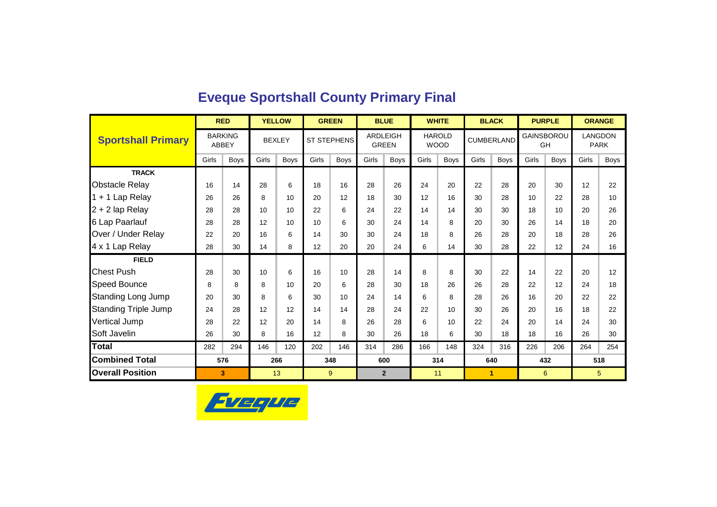|                             |       | <b>RED</b>     |               | <b>YELLOW</b> |                    | <b>GREEN</b> |       | <b>BLUE</b>                     |               | <b>WHITE</b> |       | <b>BLACK</b>      |            | <b>PURPLE</b> | <b>ORANGE</b> |                        |
|-----------------------------|-------|----------------|---------------|---------------|--------------------|--------------|-------|---------------------------------|---------------|--------------|-------|-------------------|------------|---------------|---------------|------------------------|
| <b>Sportshall Primary</b>   | ABBEY | <b>BARKING</b> | <b>BEXLEY</b> |               | <b>ST STEPHENS</b> |              |       | <b>ARDLEIGH</b><br><b>GREEN</b> | <b>HAROLD</b> | <b>WOOD</b>  |       | <b>CUMBERLAND</b> | GAINSBOROU | GH            |               | LANGDON<br><b>PARK</b> |
|                             | Girls | <b>Boys</b>    | Girls         | <b>Boys</b>   | Girls              | <b>Boys</b>  | Girls | <b>Boys</b>                     | Girls         | <b>Boys</b>  | Girls | <b>Boys</b>       | Girls      | Boys          | Girls         | <b>Boys</b>            |
| <b>TRACK</b>                |       |                |               |               |                    |              |       |                                 |               |              |       |                   |            |               |               |                        |
| <b>Obstacle Relay</b>       | 16    | 14             | 28            | 6             | 18                 | 16           | 28    | 26                              | 24            | 20           | 22    | 28                | 20         | 30            | 12            | 22                     |
| 1 + 1 Lap Relay             | 26    | 26             | 8             | 10            | 20                 | 12           | 18    | 30                              | 12            | 16           | 30    | 28                | 10         | 22            | 28            | 10                     |
| $2 + 2$ lap Relay           | 28    | 28             | 10            | 10            | 22                 | 6            | 24    | 22                              | 14            | 14           | 30    | 30                | 18         | 10            | 20            | 26                     |
| 6 Lap Paarlauf              | 28    | 28             | 12            | 10            | 10                 | 6            | 30    | 24                              | 14            | 8            | 20    | 30                | 26         | 14            | 18            | 20                     |
| Over / Under Relay          | 22    | 20             | 16            | 6             | 14                 | 30           | 30    | 24                              | 18            | 8            | 26    | 28                | 20         | 18            | 28            | 26                     |
| 4 x 1 Lap Relay             | 28    | 30             | 14            | 8             | 12                 | 20           | 20    | 24                              | 6             | 14           | 30    | 28                | 22         | 12            | 24            | 16                     |
| <b>FIELD</b>                |       |                |               |               |                    |              |       |                                 |               |              |       |                   |            |               |               |                        |
| <b>Chest Push</b>           | 28    | 30             | 10            | 6             | 16                 | 10           | 28    | 14                              | 8             | 8            | 30    | 22                | 14         | 22            | 20            | 12                     |
| <b>Speed Bounce</b>         | 8     | 8              | 8             | 10            | 20                 | 6            | 28    | 30                              | 18            | 26           | 26    | 28                | 22         | 12            | 24            | 18                     |
| <b>Standing Long Jump</b>   | 20    | 30             | 8             | 6             | 30                 | 10           | 24    | 14                              | 6             | 8            | 28    | 26                | 16         | 20            | 22            | 22                     |
| <b>Standing Triple Jump</b> | 24    | 28             | 12            | 12            | 14                 | 14           | 28    | 24                              | 22            | 10           | 30    | 26                | 20         | 16            | 18            | 22                     |
| Vertical Jump               | 28    | 22             | 12            | 20            | 14                 | 8            | 26    | 28                              | 6             | 10           | 22    | 24                | 20         | 14            | 24            | 30                     |
| Soft Javelin                | 26    | 30             | 8             | 16            | 12                 | 8            | 30    | 26                              | 18            | 6            | 30    | 18                | 18         | 16            | 26            | 30                     |
| <b>Total</b>                | 282   | 294            | 146           | 120           | 202                | 146          | 314   | 286                             | 166           | 148          | 324   | 316               | 226        | 206           | 264           | 254                    |
| <b>Combined Total</b>       |       | 576            |               | 266           |                    | 348          |       | 600                             |               | 314          |       | 640               |            | 432           | 518           |                        |
| <b>Overall Position</b>     |       | 3              |               | 13            |                    | 9            |       | $\overline{2}$                  | 11            |              |       | 1                 |            | 6             |               | 5                      |

### **Eveque Sportshall County Primary Final**

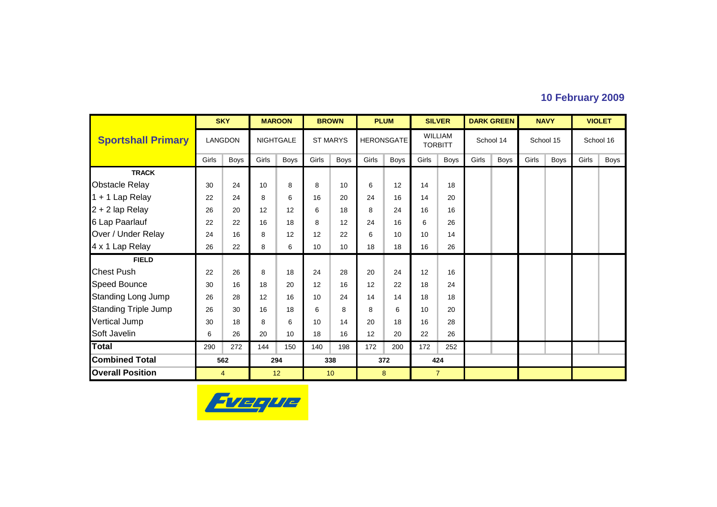### **10 February 2009**

|                             |       | <b>SKY</b>     |                 | <b>MAROON</b>    |       | <b>BROWN</b>    |       | <b>PLUM</b>       |                                  | <b>SILVER</b>  |       | <b>DARK GREEN</b> |       | <b>NAVY</b> |       | <b>VIOLET</b> |
|-----------------------------|-------|----------------|-----------------|------------------|-------|-----------------|-------|-------------------|----------------------------------|----------------|-------|-------------------|-------|-------------|-------|---------------|
| <b>Sportshall Primary</b>   |       | <b>LANGDON</b> |                 | <b>NIGHTGALE</b> |       | <b>ST MARYS</b> |       | <b>HERONSGATE</b> | <b>WILLIAM</b><br><b>TORBITT</b> |                |       | School 14         |       | School 15   |       | School 16     |
|                             | Girls | Boys           | Girls           | <b>Boys</b>      | Girls | Boys            | Girls | Boys              | Girls                            | Boys           | Girls | Boys              | Girls | Boys        | Girls | Boys          |
| <b>TRACK</b>                |       |                |                 |                  |       |                 |       |                   |                                  |                |       |                   |       |             |       |               |
| <b>Obstacle Relay</b>       | 30    | 24             | 10 <sup>1</sup> | 8                | 8     | 10              | 6     | 12                | 14                               | 18             |       |                   |       |             |       |               |
| 1 + 1 Lap Relay             | 22    | 24             | 8               | 6                | 16    | 20              | 24    | 16                | 14                               | 20             |       |                   |       |             |       |               |
| 2 + 2 lap Relay             | 26    | 20             | 12              | 12               | 6     | 18              | 8     | 24                | 16                               | 16             |       |                   |       |             |       |               |
| 6 Lap Paarlauf              | 22    | 22             | 16              | 18               | 8     | 12              | 24    | 16                | 6                                | 26             |       |                   |       |             |       |               |
| Over / Under Relay          | 24    | 16             | 8               | 12               | 12    | 22              | 6     | 10                | 10                               | 14             |       |                   |       |             |       |               |
| 4 x 1 Lap Relay             | 26    | 22             | 8               | 6                | 10    | 10              | 18    | 18                | 16                               | 26             |       |                   |       |             |       |               |
| <b>FIELD</b>                |       |                |                 |                  |       |                 |       |                   |                                  |                |       |                   |       |             |       |               |
| <b>Chest Push</b>           | 22    | 26             | 8               | 18               | 24    | 28              | 20    | 24                | 12                               | 16             |       |                   |       |             |       |               |
| Speed Bounce                | 30    | 16             | 18              | 20               | 12    | 16              | 12    | 22                | 18                               | 24             |       |                   |       |             |       |               |
| <b>Standing Long Jump</b>   | 26    | 28             | 12              | 16               | 10    | 24              | 14    | 14                | 18                               | 18             |       |                   |       |             |       |               |
| <b>Standing Triple Jump</b> | 26    | 30             | 16              | 18               | 6     | 8               | 8     | 6                 | 10                               | 20             |       |                   |       |             |       |               |
| <b>Vertical Jump</b>        | 30    | 18             | 8               | 6                | 10    | 14              | 20    | 18                | 16                               | 28             |       |                   |       |             |       |               |
| Soft Javelin                | 6     | 26             | 20              | 10               | 18    | 16              | 12    | 20                | 22                               | 26             |       |                   |       |             |       |               |
| <b>Total</b>                | 290   | 272            | 144             | 150              | 140   | 198             | 172   | 200               | 172                              | 252            |       |                   |       |             |       |               |
| <b>Combined Total</b>       |       | 562            |                 | 294              |       | 338             |       | 372               | 424                              |                |       |                   |       |             |       |               |
| <b>Overall Position</b>     |       | $\overline{4}$ |                 | 12               |       | 10              |       | 8                 |                                  | $\overline{7}$ |       |                   |       |             |       |               |

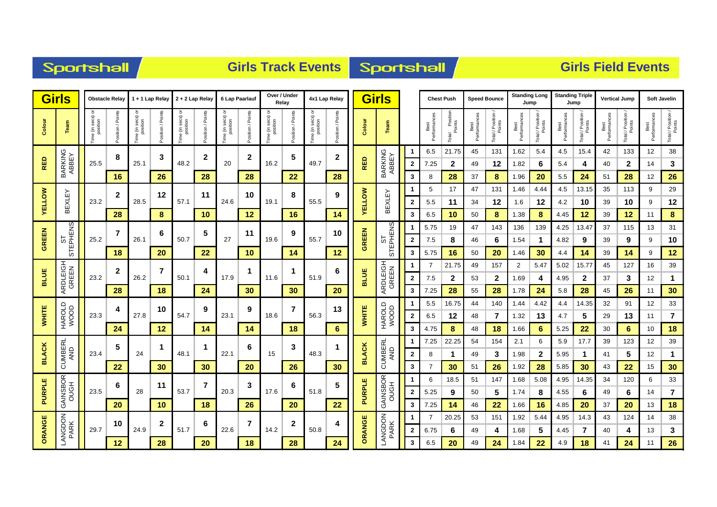|  | <b>Sportshall</b> |  |
|--|-------------------|--|
|  |                   |  |

### **Girls Track Events Sportshall**

|               | <b>Girls</b>         |                       | <b>Obstacle Relay</b>  |                                              | 1 + 1 Lap Relay     | 2 + 2 Lap Relay                      |                                 | 6 Lap Paarlauf                    |                  | Over / Under<br>Relay                  |                  | 4x1 Lap Relay                 |                   |               | <b>Girls</b>         |                         |                     | <b>Chest Push</b>             | <b>Speed Bounce</b>  |                  | <b>Standing Long</b><br>Jump |                              | <b>Standing Triple</b> | Jump             | <b>Vertical Jump</b> |                              |                      | <b>Soft Javelin</b>          |
|---------------|----------------------|-----------------------|------------------------|----------------------------------------------|---------------------|--------------------------------------|---------------------------------|-----------------------------------|------------------|----------------------------------------|------------------|-------------------------------|-------------------|---------------|----------------------|-------------------------|---------------------|-------------------------------|----------------------|------------------|------------------------------|------------------------------|------------------------|------------------|----------------------|------------------------------|----------------------|------------------------------|
| Colour        | Team                 | ੋ<br>Time (in secs) o | osition / Points<br>o. | $\bar{\circ}$<br>(in secs)<br>position<br>en | Points<br>ostitron/ | ਠ<br>e (in secs)<br>position<br>eni, | Points<br>osition /<br>$\Omega$ | e (in secs) or<br>position<br>ime | osition / Points | $\overline{\circ}$<br>Time (in secs) o | osition / Points | Time (in secs) or<br>position | Position / Points | Colour        | Team                 |                         | Performance<br>Best | I Position<br>Points<br>Total | Best<br>Performances | Total / Position | Performances<br>Best         | Total / Position /<br>Points | Performance<br>Best    | Total / Position | Performances<br>Best | Total / Position /<br>Points | Best<br>Performances | Total / Position /<br>Points |
|               |                      |                       | 8                      |                                              | 3                   |                                      | $\mathbf 2$                     |                                   | $\mathbf 2$      |                                        | 5                |                               | 2                 |               |                      | -1                      | 6.5                 | 21.75                         | 45                   | 131              | 1.62                         | 5.4                          | 4.5                    | 15.4             | 42                   | 133                          | 12                   | 38                           |
| <b>RED</b>    | BARKING<br>ABBEY     | 25.5                  |                        | 25.1                                         |                     | 48.2                                 |                                 | 20                                |                  | 16.2                                   |                  | 49.7                          |                   | <b>RED</b>    | BARKING<br>ABBEY     | $\mathbf{2}$            | 7.25                | 2                             | 49                   | 12               | 1.82                         | 6                            | 5.4                    | 4                | 40                   | $\mathbf{2}$                 | 14                   | 3                            |
|               |                      |                       | 16                     |                                              | 26                  |                                      | 28                              |                                   | 28               |                                        | 22               |                               | 28                |               |                      | 3                       | 8                   | 28                            | 37                   | 8                | 1.96                         | 20                           | $5.5\,$                | 24               | 51                   | 28                           | 12                   | 26                           |
|               |                      |                       | $\mathbf{2}$           |                                              | 12                  |                                      | 11                              |                                   | 10               |                                        | 8                |                               | 9                 |               |                      | $\mathbf 1$             | 5                   | 17                            | 47                   | 131              | 1.46                         | 4.44                         | 4.5                    | 13.15            | 35                   | 113                          | 9                    | 29                           |
| <b>YELLOW</b> | <b>BEXLEY</b>        | 23.2                  |                        | 28.5                                         |                     | 57.1                                 |                                 | 24.6                              |                  | 19.1                                   |                  | 55.5                          |                   | <b>AELLOM</b> | <b>BEXLEY</b>        | $\mathbf{2}$            | 5.5                 | 11                            | 34                   | 12               | 1.6                          | 12                           | 4.2                    | 10               | 39                   | 10                           | 9                    | 12                           |
|               |                      |                       | 28                     |                                              | $\boldsymbol{8}$    |                                      | 10                              |                                   | 12               |                                        | 16               |                               | 14                |               |                      | 3                       | 6.5                 | 10                            | 50                   | $\bf{8}$         | 1.38                         | 8                            | 4.45                   | 12               | 39                   | 12                           | 11                   | $\pmb{8}$                    |
|               | STEPHENS<br>STEPHENS |                       | 7                      |                                              | 6                   |                                      | 5                               |                                   | 11               |                                        | 9                |                               | 10                |               | STEPHENS<br>STEPHENS |                         | 5.75                | 19                            | 47                   | 143              | 136                          | 139                          | 4.25                   | 13.47            | 37                   | 115                          | 13                   | 31                           |
| <b>GREEN</b>  |                      | 25.2                  |                        | 26.1                                         |                     | 50.7                                 |                                 | 27                                |                  | 19.6                                   |                  | 55.7                          |                   | GREEN         |                      | $\overline{\mathbf{2}}$ | 7.5                 | 8                             | 46                   | 6                | 1.54                         | 1                            | 4.82                   | 9                | 39                   | 9                            | 9                    | 10                           |
|               |                      |                       | 18                     |                                              | 20                  |                                      | 22                              |                                   | 10               |                                        | 14               |                               | 12                |               |                      | 3                       | 5.75                | 16                            | 50                   | 20               | 1.46                         | 30                           | 4.4                    | 14               | 39                   | 14                           | 9                    | 12                           |
|               | ARDLEIGH<br>GREEN    |                       | $\mathbf{2}$           |                                              | 7                   |                                      | 4                               |                                   |                  |                                        |                  |                               | 6                 |               | ARDLEIGH<br>GREEN    |                         |                     | 21.75                         | 49                   | 157              | $\overline{2}$               | 5.47                         | 5.02                   | 15.77            | 45                   | 127                          | 16                   | 39                           |
| <b>BLUE</b>   |                      | 23.2                  |                        | 26.2                                         |                     | 50.1                                 |                                 | 17.9                              |                  | 11.6                                   |                  | 51.9                          |                   | <b>BLUE</b>   |                      | $\overline{\mathbf{2}}$ | 7.5                 | $\mathbf{2}$                  | 53                   | $\mathbf{2}$     | 1.69                         | 4                            | 4.95                   | $\mathbf{2}$     | 37                   | 3                            | 12                   | $\mathbf 1$                  |
|               |                      |                       | 28                     |                                              | 18                  |                                      | 24                              |                                   | 30               |                                        | 30               |                               | 20                |               |                      | 3                       | 7.25                | 28                            | 55                   | 28               | 1.78                         | 24                           | 5.8                    | 28               | 45                   | 26                           | 11                   | 30                           |
|               |                      |                       | 4                      |                                              | 10                  |                                      | 9                               |                                   | 9                |                                        | 7                |                               | 13                |               |                      |                         | 5.5                 | 16.75                         | 44                   | 140              | 1.44                         | 4.42                         | 4.4                    | 14.35            | 32                   | 91                           | 12                   | 33                           |
| <b>WHITE</b>  | HAROLD<br>WOOD       | 23.3                  |                        | 27.8                                         |                     | 54.7                                 |                                 | 23.1                              |                  | 18.6                                   |                  | 56.3                          |                   | <b>WHITE</b>  | HAROLD<br>WOOD       | $\overline{2}$          | 6.5                 | 12                            | 48                   | 7                | 1.32                         | 13                           | 4.7                    | 5                | 29                   | 13                           | 11                   | $\overline{7}$               |
|               |                      |                       | 24                     |                                              | 12                  |                                      | 14                              |                                   | 14               |                                        | 18               |                               | 6                 |               |                      | 3                       | 4.75                | 8                             | 48                   | 18               | 1.66                         | 6                            | 5.25                   | 22               | 30                   | 6                            | 10                   | 18                           |
|               | CUMBERL<br>AND       |                       | 5                      |                                              | -1                  |                                      | -1                              |                                   | 6                |                                        | 3                |                               | 1                 |               | CUMBERL<br>AND       | -1                      | 7.25                | 22.25                         | 54                   | 154              | 2.1                          | 6                            | 5.9                    | 17.7             | 39                   | 123                          | 12                   | 39                           |
| <b>BLACK</b>  |                      | 23.4                  |                        | 24                                           |                     | 48.1                                 |                                 | 22.1                              |                  | 15                                     |                  | 48.3                          |                   | <b>BLACK</b>  |                      | $\mathbf{2}$            | 8                   | $\mathbf 1$                   | 49                   | 3                | 1.98                         | $\mathbf{2}$                 | 5.95                   | $\mathbf 1$      | 41                   | 5                            | 12                   | $\mathbf 1$                  |
|               |                      |                       | 22                     |                                              | 30                  |                                      | 30                              |                                   | 20               |                                        | 26               |                               | 30                |               |                      | 3                       |                     | 30                            | 51                   | 26               | 1.92                         | 28                           | 5.85                   | 30               | 43                   | 22                           | 15                   | 30                           |
|               | GAINSBOR<br>OUGH     |                       | 6                      |                                              | 11                  |                                      | 7                               |                                   | 3                |                                        | 6                |                               | 5                 |               | GAINSBOR<br>OUGH     |                         | 6                   | 18.5                          | 51                   | 147              | 1.68                         | 5.08                         | 4.95                   | 14.35            | 34                   | 120                          | 6                    | 33                           |
| PURPLE        |                      | 23.5                  |                        | 28                                           |                     | 53.7                                 |                                 | 20.3                              |                  | 17.6                                   |                  | 51.8                          |                   | PURPLE        |                      | $\overline{\mathbf{2}}$ | 5.25                | 9                             | 50                   | 5                | 1.74                         | 8                            | 4.55                   | 6                | 49                   | 6                            | 14                   | $\overline{7}$               |
|               |                      |                       | 20                     |                                              | 10                  |                                      | 18                              |                                   | 26               |                                        | 20               |                               | 22                |               |                      | 3                       | 7.25                | 14                            | 46                   | 22               | 1.66                         | 16                           | 4.85                   | 20               | 37                   | 20                           | 13                   | 18                           |
| ORANGE        | LANGDON<br>PARK      | 29.7                  | 10                     | 24.9                                         | 2                   | 51.7                                 | 6                               | 22.6                              | 7                | 14.2                                   | $\mathbf{2}$     | 50.8                          | 4                 | ORANGE        | LANGDON<br>PARK      |                         |                     | 20.25                         | 53                   | 151              | 1.92                         | 5.44                         | 4.95                   | 14.3             | 43                   | 124                          | 14                   | 38                           |
|               |                      |                       |                        |                                              | 28                  |                                      | 20                              |                                   |                  |                                        | 28               |                               | 24                |               |                      | $\mathbf{2}$            | 6.75                | 6<br>20                       | 49                   | 4                | 1.68                         | 5                            | 4.45                   | 7                | 40                   | 4                            | 13                   | 3<br>26                      |
|               |                      |                       | 12                     |                                              |                     |                                      |                                 |                                   | 18               |                                        |                  |                               |                   |               |                      | 3                       | 6.5                 |                               | 49                   | 24               | 1.84                         | 22                           | 4.9                    | 18               | 41                   | 24                           | 11                   |                              |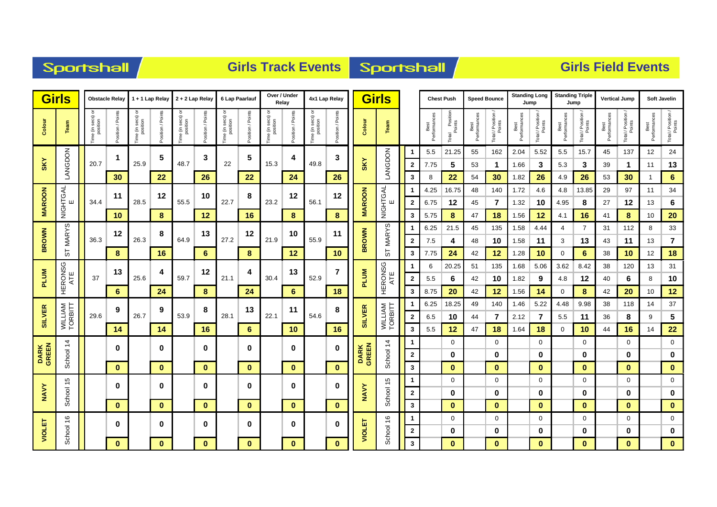| <b>Sportshall</b> |
|-------------------|
|-------------------|

### **Girls Track Events Sportshall**

|                      | <b>Girls</b>       |                                 | <b>Obstacle Relay</b> |                               | 1 + 1 Lap Relay  | $2 + 2$ Lap Relay                        |                  |                               | 6 Lap Paarlauf   | Over / Under<br>Relay |                  | 4x1 Lap Relay                 |                   |                      | <b>Girls</b>       |                         |                      | <b>Chest Push</b>             |                      | <b>Speed Bounce</b>          |                      | <b>Standing Long</b><br>Jump | <b>Standing Triple</b> | Jump                         | <b>Vertical Jump</b> |                              |                      | <b>Soft Javelin</b>          |
|----------------------|--------------------|---------------------------------|-----------------------|-------------------------------|------------------|------------------------------------------|------------------|-------------------------------|------------------|-----------------------|------------------|-------------------------------|-------------------|----------------------|--------------------|-------------------------|----------------------|-------------------------------|----------------------|------------------------------|----------------------|------------------------------|------------------------|------------------------------|----------------------|------------------------------|----------------------|------------------------------|
| Colour               | Team               | ਠ<br>Time (in secs)<br>position | osition / Points      | Time (in secs) or<br>position | osition / Points | secs) or<br>ition<br>Time (in s<br>posit | osition / Points | Time (in secs) or<br>position | osition / Points | Time (in secs) o      | osition / Points | Time (in secs) or<br>position | Position / Points | Colour               | Team               |                         | Best<br>Performances | l Position<br>Points<br>Total | Best<br>Performances | Total / Position /<br>Points | Best<br>Performances | Total / Position /<br>Points | Best<br>Performances   | Total / Position /<br>Points | Best<br>Performances | Total / Position /<br>Points | Best<br>Performances | Total / Position /<br>Points |
|                      |                    |                                 | 1                     |                               | 5                |                                          | 3                |                               | 5                |                       | 4                |                               | 3                 |                      |                    | -1                      | 5.5                  | 21.25                         | 55                   | 162                          | 2.04                 | 5.52                         | 5.5                    | 15.7                         | 45                   | 137                          | 12                   | 24                           |
| <b>SKY</b>           | MODON              | 20.7                            |                       | 25.9                          |                  | 48.7                                     |                  | 22                            |                  | 15.3                  |                  | 49.8                          |                   | <b>SKY</b>           | LANGDON            | $\mathbf{2}$            | 7.75                 | 5                             | 53                   | $\mathbf{1}$                 | 1.66                 | 3                            | 5.3                    | 3                            | 39                   | 1                            | 11                   | 13                           |
|                      |                    |                                 | 30                    |                               | 22               |                                          | 26               |                               | 22               |                       | 24               |                               | 26                |                      |                    | 3                       | 8                    | 22                            | 54                   | 30                           | 1.82                 | 26                           | 4.9                    | 26                           | 53                   | 30                           | $\mathbf{1}$         | $6\phantom{1}$               |
|                      |                    |                                 | 11                    |                               | 12               |                                          | 10               |                               | 8                |                       | 12               |                               | 12                |                      |                    | -1                      | 4.25                 | 16.75                         | 48                   | 140                          | 1.72                 | 4.6                          | 4.8                    | 13.85                        | 29                   | 97                           | 11                   | 34                           |
| <b>MAROON</b>        | NIGHTGAL<br>Ш      | 34.4                            |                       | 28.5                          |                  | 55.5                                     |                  | 22.7                          |                  | 23.2                  |                  | 56.1                          |                   | <b>MAROON</b>        | NIGHTGAL<br>ш      | $\overline{2}$          | 6.75                 | 12                            | 45                   | 7                            | 1.32                 | 10                           | 4.95                   | 8                            | 27                   | 12                           | 13                   | $\bf 6$                      |
|                      |                    |                                 | 10                    |                               | 8                |                                          | 12               |                               | 16               |                       | 8                |                               | 8                 |                      |                    | 3                       | 5.75                 | 8                             | 47                   | 18                           | 1.56                 | 12                           | 4.1                    | 16                           | 41                   | 8                            | 10                   | 20                           |
|                      | <b>MARYS</b>       |                                 | 12                    |                               | 8                |                                          | 13               |                               | 12               |                       | 10               |                               | 11                |                      | <b>MARYS</b>       |                         | 6.25                 | 21.5                          | 45                   | 135                          | 1.58                 | 4.44                         | $\overline{4}$         | $\overline{7}$               | 31                   | 112                          | 8                    | 33                           |
| <b>BROWN</b>         |                    | 36.3                            |                       | 26.3                          |                  | 64.9                                     |                  | 27.2                          |                  | 21.9                  |                  | 55.9                          |                   | <b>BROWN</b>         |                    | $\overline{\mathbf{2}}$ | 7.5                  | 4                             | 48                   | 10                           | 1.58                 | 11                           | 3                      | 13                           | 43                   | 11                           | 13                   | $\overline{\mathbf{r}}$      |
|                      | 55                 |                                 | 8                     |                               | 16               |                                          | 6                |                               | 8                |                       | 12               |                               | 10                |                      | 55                 | 3                       | 7.75                 | 24                            | 42                   | 12                           | 1.28                 | 10                           | 0                      | $6\phantom{1}6$              | 38                   | 10                           | 12                   | 18                           |
|                      | HERONSG<br>ATE     |                                 | 13                    |                               | 4                |                                          | 12               |                               | 4                |                       | 13               |                               | 7                 |                      | HERONSG<br>ATE     |                         | 6                    | 20.25                         | 51                   | 135                          | 1.68                 | 5.06                         | 3.62                   | 8.42                         | 38                   | 120                          | 13                   | 31                           |
| <b>PLUM</b>          |                    | 37                              |                       | 25.6                          |                  | 59.7                                     |                  | 21.1                          |                  | 30.4                  |                  | 52.9                          |                   | <b>PLUM</b>          |                    | $\overline{2}$          | 5.5                  | 6                             | 42                   | 10                           | 1.82                 | 9                            | 4.8                    | 12                           | 40                   | 6                            | 8                    | 10                           |
|                      |                    |                                 | 6                     |                               | 24               |                                          | 8                |                               | 24               |                       | 6                |                               | 18                |                      |                    | 3                       | 8.75                 | 20                            | 42                   | 12                           | 1.56                 | 14                           | $\mathbf 0$            | 8                            | 42                   | 20                           | 10                   | 12                           |
|                      |                    |                                 | 9                     |                               | 9                |                                          | 8                |                               | 13               |                       | 11               |                               | 8                 |                      |                    |                         | 6.25                 | 18.25                         | 49                   | 140                          | 1.46                 | 5.22                         | 4.48                   | 9.98                         | 38                   | 118                          | 14                   | $37\,$                       |
| <b>SILVER</b>        | WILLIAM<br>TORBITT | 29.6                            |                       | 26.7                          |                  | 53.9                                     |                  | 28.1                          |                  | 22.1                  |                  | 54.6                          |                   | <b>SILVER</b>        | WILLIAM<br>TORBITT | $\mathbf{2}$            | 6.5                  | 10                            | 44                   | 7                            | 2.12                 | 7                            | 5.5                    | 11                           | 36                   | 8                            | 9                    | $\overline{\mathbf{5}}$      |
|                      |                    |                                 | 14                    |                               | 14               |                                          | 16               |                               | 6                |                       | 10               |                               | 16                |                      |                    | 3                       | 5.5                  | 12                            | 47                   | 18                           | 1.64                 | 18                           | $\mathbf 0$            | 10                           | 44                   | 16                           | 14                   | 22                           |
|                      | $\dot{4}$          |                                 | $\mathbf 0$           |                               | $\mathbf 0$      |                                          | 0                |                               | 0                |                       | 0                |                               | 0                 |                      | $\frac{4}{3}$      |                         |                      | $\mathbf 0$                   |                      | $\mathbf 0$                  |                      | $\mathbf 0$                  |                        | $\mathbf 0$                  |                      | $\mathbf 0$                  |                      | $\mathbf 0$                  |
| <b>DARK</b><br>GREEN | School             |                                 |                       |                               |                  |                                          |                  |                               |                  |                       |                  |                               |                   | <b>DARK</b><br>GREEN | School             | $\mathbf{2}$            |                      | 0                             |                      | 0                            |                      | 0                            |                        | 0                            |                      | 0                            |                      | $\pmb{0}$                    |
|                      |                    |                                 | $\bf{0}$              |                               | $\bf{0}$         |                                          | $\mathbf{0}$     |                               | $\mathbf{0}$     |                       | $\mathbf{0}$     |                               | $\mathbf{0}$      |                      |                    | $\mathbf{3}$            |                      | $\bf{0}$                      |                      | $\bf{0}$                     |                      | $\bf{0}$                     |                        | $\bf{0}$                     |                      | $\bf{0}$                     |                      | $\mathbf{0}$                 |
|                      |                    |                                 | 0                     |                               | 0                |                                          | 0                |                               | 0                |                       | 0                |                               | 0                 |                      |                    | -1                      |                      | 0                             |                      | 0                            |                      | $\mathbf 0$                  |                        | 0                            |                      | 0                            |                      | $\mathbf 0$                  |
| <b>NAVY</b>          | School 15          |                                 |                       |                               |                  |                                          |                  |                               |                  |                       |                  |                               |                   | <b>NAVY</b>          | School 15          | $\mathbf{2}$            |                      | 0                             |                      | 0                            |                      | 0                            |                        | 0                            |                      | 0                            |                      | $\bf{0}$                     |
|                      |                    |                                 | $\bf{0}$              |                               | $\mathbf{0}$     |                                          | $\mathbf{0}$     |                               | $\mathbf{0}$     |                       | $\mathbf{0}$     |                               | $\mathbf{0}$      |                      |                    | 3                       |                      | $\bf{0}$                      |                      | $\bf{0}$                     |                      | $\bf{0}$                     |                        | $\bf{0}$                     |                      | $\bf{0}$                     |                      | $\mathbf{0}$                 |
| <b>VIOLET</b>        | $\frac{6}{5}$      |                                 | $\bf{0}$              |                               | $\mathbf 0$      |                                          | 0                |                               | 0                |                       | 0                |                               | 0                 | VIOLET               | $\frac{6}{2}$      | -1                      |                      | 0                             |                      | $\mathbf 0$                  |                      | $\mathbf 0$                  |                        | 0                            |                      | 0                            |                      | $\pmb{0}$                    |
|                      | School             |                                 | $\bf{0}$              |                               | $\mathbf{0}$     |                                          | $\bf{0}$         |                               | $\bf{0}$         |                       | $\mathbf{0}$     |                               | $\mathbf{0}$      |                      | School             | $\mathbf{2}$<br>3       |                      | 0<br>$\bf{0}$                 |                      | 0<br>$\bf{0}$                |                      | 0<br>$\mathbf{0}$            |                        | 0<br>$\bf{0}$                |                      | 0<br>$\bf{0}$                |                      | $\bf{0}$<br>$\mathbf{0}$     |
|                      |                    |                                 |                       |                               |                  |                                          |                  |                               |                  |                       |                  |                               |                   |                      |                    |                         |                      |                               |                      |                              |                      |                              |                        |                              |                      |                              |                      |                              |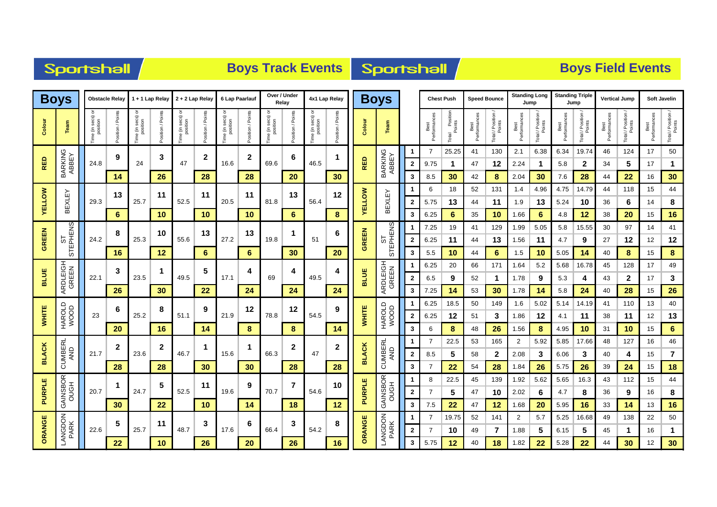| Sportshall |  |  |
|------------|--|--|
|            |  |  |

# **Boys Track Events Boys Track Events**

|               | <b>Boys</b>          |                            | <b>Obstacle Relay</b>  |                                                                          | 1 + 1 Lap Relay  | 2 + 2 Lap Relay                         |                 |                              | 6 Lap Paarlauf | Over / Under<br>Relay           |                | 4x1 Lap Relay                    |                  |               | <b>Boys</b>       |              |                      | <b>Chest Push</b>          | <b>Speed Bounce</b>  |                  | <b>Standing Long</b><br>Jump |                  | <b>Standing Triple</b><br>Jump |                           | <b>Vertical Jump</b> |                            |                      | <b>Soft Javelin</b>          |
|---------------|----------------------|----------------------------|------------------------|--------------------------------------------------------------------------|------------------|-----------------------------------------|-----------------|------------------------------|----------------|---------------------------------|----------------|----------------------------------|------------------|---------------|-------------------|--------------|----------------------|----------------------------|----------------------|------------------|------------------------------|------------------|--------------------------------|---------------------------|----------------------|----------------------------|----------------------|------------------------------|
| Colour        | Team                 | Time (in secs)<br>position | osition / Points<br>۵ī | secs)<br>position<br>$\mathrel{\mathop{\mathsf{E}}\nolimits}$<br>em<br>E | osition / Points | e (in secs)<br>position<br>$\mathbf{Q}$ | osition / Point | e (in secs)<br>position<br>e | osition / Poin | e (in secs)<br>position<br>Time | osition / Poin | e (in secs) or<br>position<br>e) | osition / Points | Colour        | Team              |              | Best<br>Performances | Position<br>Points<br>otal | Best<br>Performances | Total / Position | Best<br>Performances         | Total / Position | Performance<br>Best            | Total / Positio<br>Points | Performance<br>Best  | Total / Position<br>Points | Performances<br>Best | Total / Position /<br>Points |
|               |                      |                            | 9                      |                                                                          | 3                |                                         | $\mathbf{2}$    |                              | $\mathbf{2}$   |                                 | 6              |                                  |                  |               |                   | -1           | 7                    | 25.25                      | 41                   | 130              | 2.1                          | 6.38             | 6.34                           | 19.74                     | 46                   | 124                        | 17                   | 50                           |
| <b>RED</b>    | BARKING<br>ABBEY     | 24.8                       |                        | 24                                                                       |                  | 47                                      |                 | 16.6                         |                | 69.6                            |                | 46.5                             |                  | <b>RED</b>    | BARKING<br>ABBEY  | $\mathbf{2}$ | 9.75                 | 1                          | 47                   | 12               | 2.24                         | $\mathbf 1$      | 5.8                            | $\mathbf 2$               | 34                   | 5                          | 17                   | 1                            |
|               |                      |                            | 14                     |                                                                          | 26               |                                         | 28              |                              | 28             |                                 | 20             |                                  | 30               |               |                   | 3            | 8.5                  | 30                         | 42                   | 8                | 2.04                         | 30               | 7.6                            | 28                        | 44                   | 22                         | 16                   | 30                           |
|               |                      |                            | 13                     |                                                                          | 11               |                                         | 11              |                              | 11             |                                 | 13             |                                  | 12               |               |                   |              | 6                    | 18                         | 52                   | 131              | 1.4                          | 4.96             | 4.75                           | 14.79                     | 44                   | 118                        | 15                   | 44                           |
| <b>YELLOW</b> | <b>BEXLEY</b>        | 29.3                       |                        | 25.7                                                                     |                  | 52.5                                    |                 | 20.5                         |                | 81.8                            |                | 56.4                             |                  | <b>YELLOW</b> | BEXLEY            | $\mathbf{2}$ | 5.75                 | 13                         | 44                   | 11               | 1.9                          | 13               | 5.24                           | 10                        | 36                   | 6                          | 14                   | 8                            |
|               |                      |                            | 6                      |                                                                          | 10               |                                         | 10              |                              | 10             |                                 | 6              |                                  | 8                |               |                   | 3            | 6.25                 | 6                          | 35                   | 10               | 1.66                         | 6                | 4.8                            | 12                        | 38                   | 20                         | 15                   | 16                           |
|               | STEPHENS<br>STEPHENS |                            | 8                      |                                                                          | 10               |                                         | 13              |                              | 13             |                                 |                |                                  | 6                |               | STEPHENS          | 1            | 7.25                 | 19                         | 41                   | 129              | 1.99                         | 5.05             | 5.8                            | 15.55                     | 30                   | 97                         | 14                   | 41                           |
| <b>GREEN</b>  |                      | 24.2                       |                        | 25.3                                                                     |                  | 55.6                                    |                 | 27.2                         |                | 19.8                            |                | 51                               |                  | GREEN         |                   | $\mathbf{2}$ | 6.25                 | 11                         | 44                   | 13               | 1.56                         | 11               | 4.7                            | 9                         | 27                   | 12                         | 12                   | 12                           |
|               |                      |                            | 16                     |                                                                          | 12               |                                         | 6               |                              | 6              |                                 | 30             |                                  | 20               |               |                   | 3            | 5.5                  | 10                         | 44                   | 6                | 1.5                          | 10               | 5.05                           | 14                        | 40                   | 8                          | 15                   | $\bf8$                       |
|               | ARDLEIGH<br>GREEN    |                            | 3                      |                                                                          | -1               |                                         | 5               |                              | 4              |                                 | 4              |                                  | 4                |               | ARDLEIGH<br>GREEN | -1           | 6.25                 | 20                         | 66                   | 171              | 1.64                         | 5.2              | 5.68                           | 16.78                     | 45                   | 128                        | 17                   | 49                           |
| <b>BLUE</b>   |                      | 22.1                       |                        | 23.5                                                                     |                  | 49.5                                    |                 | 17.1                         |                | 69                              |                | 49.5                             |                  | <b>BLUE</b>   |                   | $\mathbf{2}$ | 6.5                  | 9                          | 52                   | 1                | 1.78                         | 9                | 5.3                            | 4                         | 43                   | $\boldsymbol{2}$           | 17                   | 3                            |
|               |                      |                            | 26                     |                                                                          | 30               |                                         | 22              |                              | 24             |                                 | 24             |                                  | 24               |               |                   | 3            | 7.25                 | 14                         | 53                   | 30               | 1.78                         | 14               | 5.8                            | 24                        | 40                   | 28                         | 15                   | 26                           |
|               |                      |                            | 6                      |                                                                          | 8                |                                         | 9               |                              | 12             |                                 | 12             |                                  | 9                |               |                   | -1           | 6.25                 | 18.5                       | 50                   | 149              | 1.6                          | 5.02             | 5.14                           | 14.19                     | 41                   | 110                        | 13                   | 40                           |
| <b>WHITE</b>  | HAROLD<br>WOOD       | 23                         |                        | 25.2                                                                     |                  | 51.1                                    |                 | 21.9                         |                | 78.8                            |                | 54.5                             |                  | WHITE         | HAROLD<br>WOOD    | $\mathbf{2}$ | 6.25                 | 12                         | 51                   | 3                | 1.86                         | 12               | 4.1                            | 11                        | 38                   | 11                         | 12                   | 13                           |
|               |                      |                            | 20                     |                                                                          | 16               |                                         | 14              |                              | 8              |                                 | 8              |                                  | 14               |               |                   | 3            | 6                    | 8                          | 48                   | 26               | 1.56                         | 8                | 4.95                           | 10                        | 31                   | 10                         | 15                   | 6                            |
|               |                      |                            | $\mathbf{2}$           |                                                                          | $\mathbf{2}$     |                                         | -1              |                              | 1              |                                 | $\mathbf{2}$   |                                  | 2                |               | <b>CUMBERL</b>    | -1           | 7                    | 22.5                       | 53                   | 165              | 2                            | 5.92             | 5.85                           | 17.66                     | 48                   | 127                        | 16                   | 46                           |
| <b>BLACK</b>  | CUMBERI<br>AND       | 21.7                       |                        | 23.6                                                                     |                  | 46.7                                    |                 | 15.6                         |                | 66.3                            |                | 47                               |                  | <b>BLACK</b>  | AND               | $\mathbf{2}$ | 8.5                  | 5                          | 58                   | $\mathbf{2}$     | 2.08                         | 3                | 6.06                           | 3                         | 40                   | 4                          | 15                   | $\overline{7}$               |
|               |                      |                            | 28                     |                                                                          | 28               |                                         | 30              |                              | 30             |                                 | 28             |                                  | 28               |               |                   | 3            | 7                    | 22                         | 54                   | 28               | 1.84                         | 26               | 5.75                           | 26                        | 39                   | 24                         | 15                   | 18                           |
|               | GAINSBOR<br>OUGH     |                            | $\mathbf 1$            |                                                                          | 5                |                                         | 11              |                              | 9              |                                 | 7              |                                  | 10               |               | GAINSBOR<br>OUGH  | -1           | 8                    | 22.5                       | 45                   | 139              | 1.92                         | 5.62             | 5.65                           | 16.3                      | 43                   | 112                        | 15                   | 44                           |
| PURPLE        |                      | 20.7                       |                        | 24.7                                                                     |                  | 52.5                                    |                 | 19.6                         |                | 70.7                            |                | 54.6                             |                  | PURPLE        |                   | $\mathbf{2}$ |                      | 5                          | 47                   | 10               | 2.02                         | 6                | 4.7                            | 8                         | 36                   | 9                          | 16                   | 8                            |
|               |                      |                            | 30                     |                                                                          | 22               |                                         | 10              |                              | 14             |                                 | 18             |                                  | 12               |               |                   | 3            | 7.5                  | 22                         | 47                   | 12               | 1.68                         | 20               | 5.95                           | 16                        | 33                   | 14                         | 13                   | 16                           |
|               | LANGDON<br>PARK      |                            | 5                      |                                                                          | 11               |                                         | 3               |                              | 6              |                                 | 3              |                                  | 8                |               | LANGDON<br>PARK   |              | 7                    | 19.75                      | 52                   | 141              | $\overline{2}$               | 5.7              | 5.25                           | 16.68                     | 49                   | 138                        | 22                   | 50                           |
| ORANGE        |                      | 22.6                       |                        | 25.7                                                                     |                  | 48.7                                    |                 | 17.6                         |                | 66.4                            |                | 54.2                             |                  | ORANGE        |                   | $\mathbf{2}$ | 7                    | 10                         | 49                   | 7                | 1.88                         | 5                | 6.15                           | 5                         | 45                   | -1                         | 16                   | 1                            |
|               |                      |                            | 22                     |                                                                          | 10               |                                         | 26              |                              | 20             |                                 | 26             |                                  | 16               |               |                   | 3            | 5.75                 | 12                         | 40                   | 18               | 1.82                         | 22               | 5.28                           | 22                        | 44                   | 30                         | 12                   | 30                           |